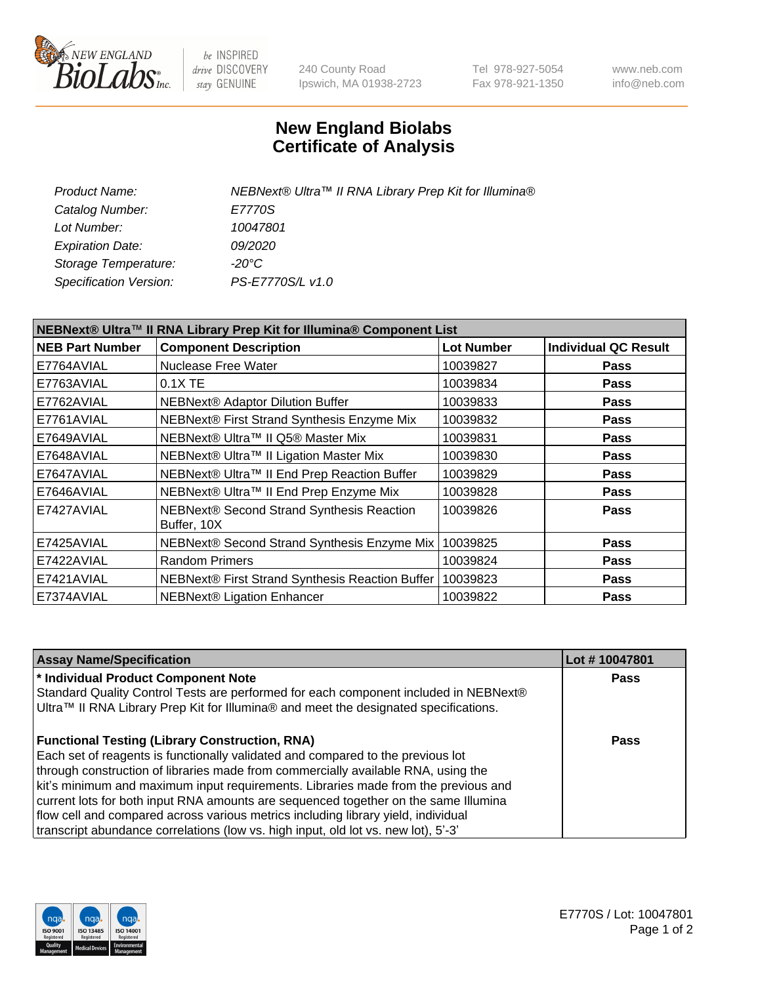

be INSPIRED drive DISCOVERY stay GENUINE

240 County Road Ipswich, MA 01938-2723 Tel 978-927-5054 Fax 978-921-1350 www.neb.com info@neb.com

## **New England Biolabs Certificate of Analysis**

| Product Name:           | NEBNext® Ultra™ II RNA Library Prep Kit for Illumina® |
|-------------------------|-------------------------------------------------------|
| Catalog Number:         | E7770S                                                |
| Lot Number:             | 10047801                                              |
| <b>Expiration Date:</b> | 09/2020                                               |
| Storage Temperature:    | -20°C                                                 |
| Specification Version:  | PS-E7770S/L v1.0                                      |
|                         |                                                       |

| NEBNext® Ultra™ II RNA Library Prep Kit for Illumina® Component List |                                                          |                   |                             |  |
|----------------------------------------------------------------------|----------------------------------------------------------|-------------------|-----------------------------|--|
| <b>NEB Part Number</b>                                               | <b>Component Description</b>                             | <b>Lot Number</b> | <b>Individual QC Result</b> |  |
| E7764AVIAL                                                           | <b>Nuclease Free Water</b>                               | 10039827          | <b>Pass</b>                 |  |
| E7763AVIAL                                                           | $0.1X$ TE                                                | 10039834          | <b>Pass</b>                 |  |
| E7762AVIAL                                                           | <b>NEBNext® Adaptor Dilution Buffer</b>                  | 10039833          | <b>Pass</b>                 |  |
| E7761AVIAL                                                           | NEBNext® First Strand Synthesis Enzyme Mix               | 10039832          | <b>Pass</b>                 |  |
| E7649AVIAL                                                           | NEBNext® Ultra™ II Q5® Master Mix                        | 10039831          | <b>Pass</b>                 |  |
| E7648AVIAL                                                           | NEBNext® Ultra™ II Ligation Master Mix                   | 10039830          | <b>Pass</b>                 |  |
| E7647AVIAL                                                           | NEBNext® Ultra™ II End Prep Reaction Buffer              | 10039829          | <b>Pass</b>                 |  |
| E7646AVIAL                                                           | NEBNext® Ultra™ II End Prep Enzyme Mix                   | 10039828          | <b>Pass</b>                 |  |
| E7427AVIAL                                                           | NEBNext® Second Strand Synthesis Reaction<br>Buffer, 10X | 10039826          | <b>Pass</b>                 |  |
| E7425AVIAL                                                           | NEBNext® Second Strand Synthesis Enzyme Mix              | 10039825          | <b>Pass</b>                 |  |
| E7422AVIAL                                                           | <b>Random Primers</b>                                    | 10039824          | <b>Pass</b>                 |  |
| E7421AVIAL                                                           | NEBNext® First Strand Synthesis Reaction Buffer          | 10039823          | <b>Pass</b>                 |  |
| E7374AVIAL                                                           | <b>NEBNext® Ligation Enhancer</b>                        | 10039822          | <b>Pass</b>                 |  |

| <b>Assay Name/Specification</b>                                                      | Lot #10047801 |
|--------------------------------------------------------------------------------------|---------------|
| * Individual Product Component Note                                                  | <b>Pass</b>   |
| Standard Quality Control Tests are performed for each component included in NEBNext® |               |
| Ultra™ II RNA Library Prep Kit for Illumina® and meet the designated specifications. |               |
| <b>Functional Testing (Library Construction, RNA)</b>                                | Pass          |
| Each set of reagents is functionally validated and compared to the previous lot      |               |
| through construction of libraries made from commercially available RNA, using the    |               |
| kit's minimum and maximum input requirements. Libraries made from the previous and   |               |
| current lots for both input RNA amounts are sequenced together on the same Illumina  |               |
| flow cell and compared across various metrics including library yield, individual    |               |
| transcript abundance correlations (low vs. high input, old lot vs. new lot), 5'-3'   |               |